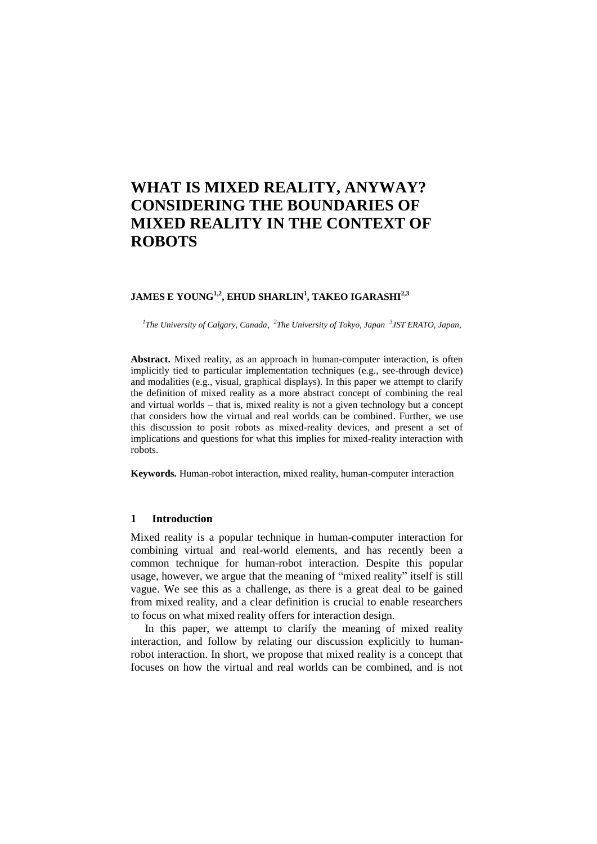# **WHAT IS MIXED REALITY, ANYWAY? CONSIDERING THE BOUNDARIES OF MIXED REALITY IN THE CONTEXT OF ROBOTS**

# **JAMES E YOUNG1,2, EHUD SHARLIN<sup>1</sup> , TAKEO IGARASHI2,3**

<sup>1</sup>The University of Calgary, Canada, <sup>2</sup>The University of Tokyo, Japan<sup>3</sup> JST ERATO, Japan,

**Abstract.** Mixed reality, as an approach in human-computer interaction, is often implicitly tied to particular implementation techniques (e.g., see-through device) and modalities (e.g., visual, graphical displays). In this paper we attempt to clarify the definition of mixed reality as a more abstract concept of combining the real and virtual worlds – that is, mixed reality is not a given technology but a concept that considers how the virtual and real worlds can be combined. Further, we use this discussion to posit robots as mixed-reality devices, and present a set of implications and questions for what this implies for mixed-reality interaction with robots.

**Keywords.** Human-robot interaction, mixed reality, human-computer interaction

#### **1 Introduction**

Mixed reality is a popular technique in human-computer interaction for combining virtual and real-world elements, and has recently been a common technique for human-robot interaction. Despite this popular usage, however, we argue that the meaning of "mixed reality" itself is still vague. We see this as a challenge, as there is a great deal to be gained from mixed reality, and a clear definition is crucial to enable researchers to focus on what mixed reality offers for interaction design.

In this paper, we attempt to clarify the meaning of mixed reality interaction, and follow by relating our discussion explicitly to humanrobot interaction. In short, we propose that mixed reality is a concept that focuses on how the virtual and real worlds can be combined, and is not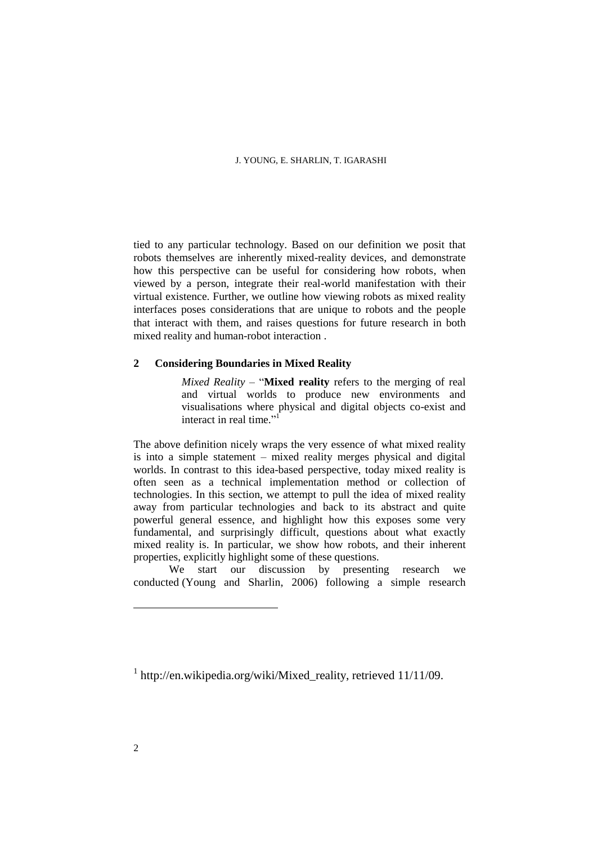tied to any particular technology. Based on our definition we posit that robots themselves are inherently mixed-reality devices, and demonstrate how this perspective can be useful for considering how robots, when viewed by a person, integrate their real-world manifestation with their virtual existence. Further, we outline how viewing robots as mixed reality interfaces poses considerations that are unique to robots and the people that interact with them, and raises questions for future research in both mixed reality and human-robot interaction .

## <span id="page-1-0"></span>**2 Considering Boundaries in Mixed Reality**

*Mixed Reality* – "**Mixed reality** refers to the merging of real and virtual worlds to produce new environments and visualisations where physical and digital objects co-exist and interact in real time."<sup>1</sup>

The above definition nicely wraps the very essence of what mixed reality is into a simple statement – mixed reality merges physical and digital worlds. In contrast to this idea-based perspective, today mixed reality is often seen as a technical implementation method or collection of technologies. In this section, we attempt to pull the idea of mixed reality away from particular technologies and back to its abstract and quite powerful general essence, and highlight how this exposes some very fundamental, and surprisingly difficult, questions about what exactly mixed reality is. In particular, we show how robots, and their inherent properties, explicitly highlight some of these questions.

We start our discussion by presenting research we conducted [\(Young and Sharlin, 2006\)](#page-15-0) following a simple research

<u>.</u>

<sup>1</sup> http://en.wikipedia.org/wiki/Mixed\_reality, retrieved 11/11/09.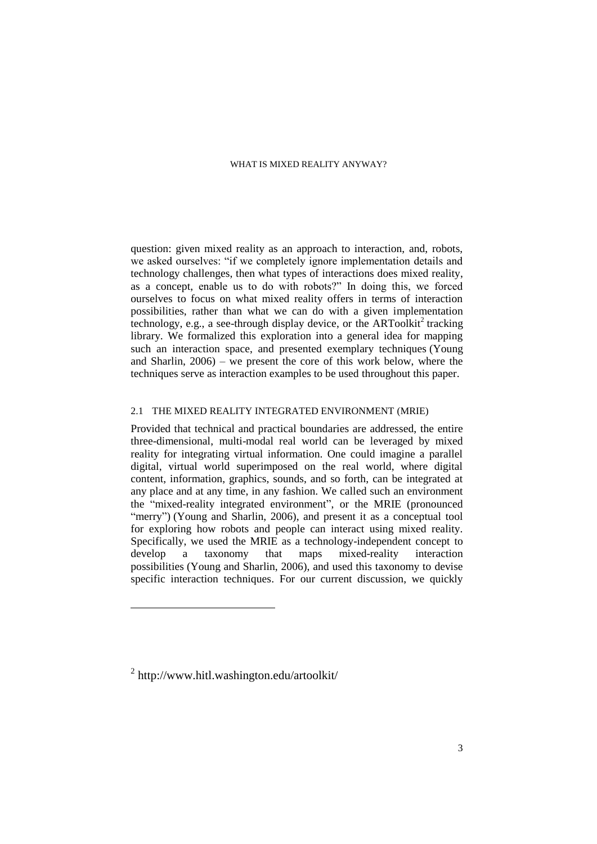question: given mixed reality as an approach to interaction, and, robots, we asked ourselves: "if we completely ignore implementation details and technology challenges, then what types of interactions does mixed reality, as a concept, enable us to do with robots?" In doing this, we forced ourselves to focus on what mixed reality offers in terms of interaction possibilities, rather than what we can do with a given implementation  $t$ echnology, e.g., a see-through display device, or the ARToolkit<sup>2</sup> tracking library. We formalized this exploration into a general idea for mapping such an interaction space, and presented exemplary techniques [\(Young](#page-15-0)  [and Sharlin, 2006\)](#page-15-0) – we present the core of this work below, where the techniques serve as interaction examples to be used throughout this paper.

# <span id="page-2-0"></span>2.1 THE MIXED REALITY INTEGRATED ENVIRONMENT (MRIE)

Provided that technical and practical boundaries are addressed, the entire three-dimensional, multi-modal real world can be leveraged by mixed reality for integrating virtual information. One could imagine a parallel digital, virtual world superimposed on the real world, where digital content, information, graphics, sounds, and so forth, can be integrated at any place and at any time, in any fashion. We called such an environment the "mixed-reality integrated environment", or the MRIE (pronounced "merry") [\(Young and Sharlin, 2006\)](#page-15-0), and present it as a conceptual tool for exploring how robots and people can interact using mixed reality. Specifically, we used the MRIE as a technology-independent concept to develop a taxonomy that maps mixed-reality interaction possibilities [\(Young and Sharlin, 2006\)](#page-15-0), and used this taxonomy to devise specific interaction techniques. For our current discussion, we quickly

 $\overline{a}$ 

<sup>&</sup>lt;sup>2</sup> http://www.hitl.washington.edu/artoolkit/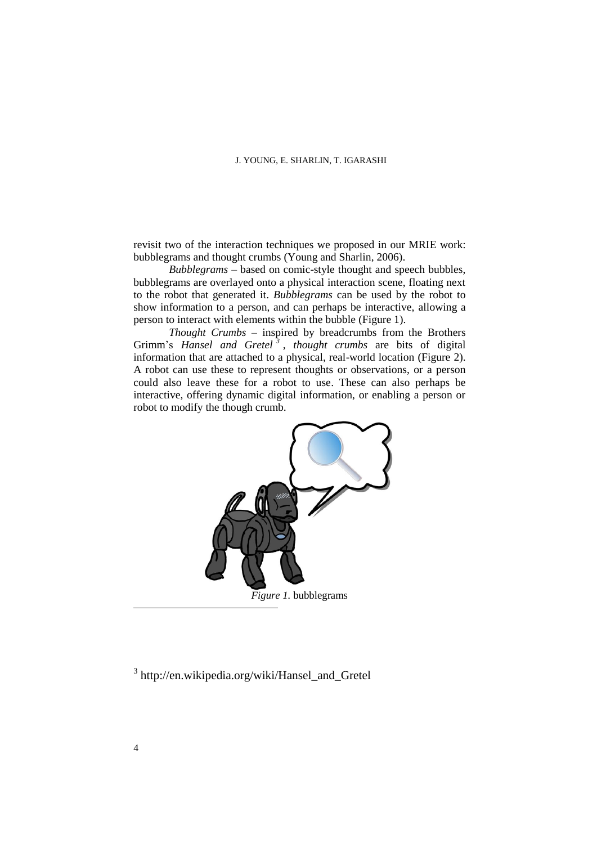revisit two of the interaction techniques we proposed in our MRIE work: bubblegrams and thought crumbs [\(Young and Sharlin, 2006\)](#page-15-0).

*Bubblegrams –* based on comic-style thought and speech bubbles, bubblegrams are overlayed onto a physical interaction scene, floating next to the robot that generated it. *Bubblegrams* can be used by the robot to show information to a person, and can perhaps be interactive, allowing a person to interact with elements within the bubble [\(Figure 1\)](#page-3-0).

*Thought Crumbs* – inspired by breadcrumbs from the Brothers Grimm's *Hansel and Gretel <sup>3</sup>* , *thought crumbs* are bits of digital information that are attached to a physical, real-world location [\(Figure 2\)](#page-4-0). A robot can use these to represent thoughts or observations, or a person could also leave these for a robot to use. These can also perhaps be interactive, offering dynamic digital information, or enabling a person or robot to modify the though crumb.



<span id="page-3-0"></span><u>.</u>

<sup>3</sup> http://en.wikipedia.org/wiki/Hansel\_and\_Gretel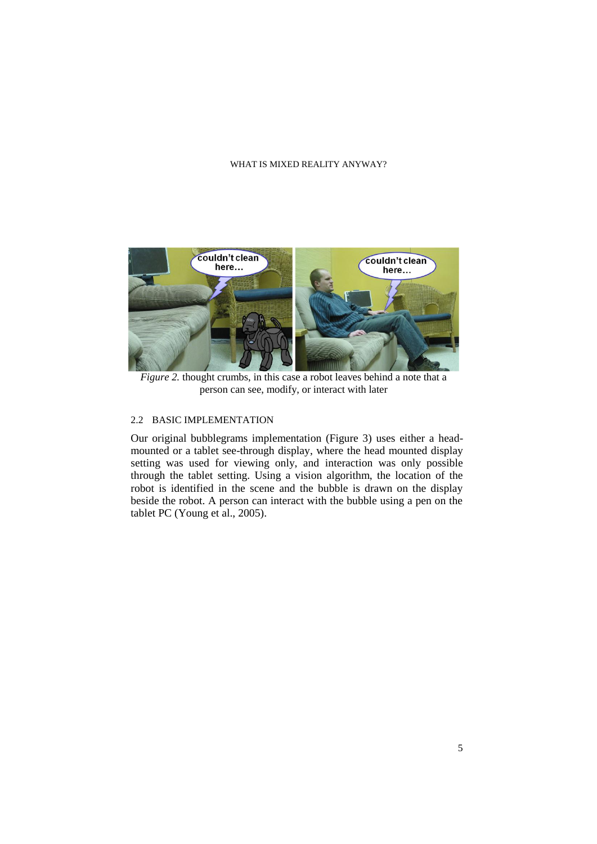

*Figure 2.* thought crumbs, in this case a robot leaves behind a note that a person can see, modify, or interact with later

## <span id="page-4-0"></span>2.2 BASIC IMPLEMENTATION

Our original bubblegrams implementation [\(Figure 3\)](#page-5-0) uses either a headmounted or a tablet see-through display, where the head mounted display setting was used for viewing only, and interaction was only possible through the tablet setting. Using a vision algorithm, the location of the robot is identified in the scene and the bubble is drawn on the display beside the robot. A person can interact with the bubble using a pen on the tablet PC [\(Young et](#page-15-0) al., 2005).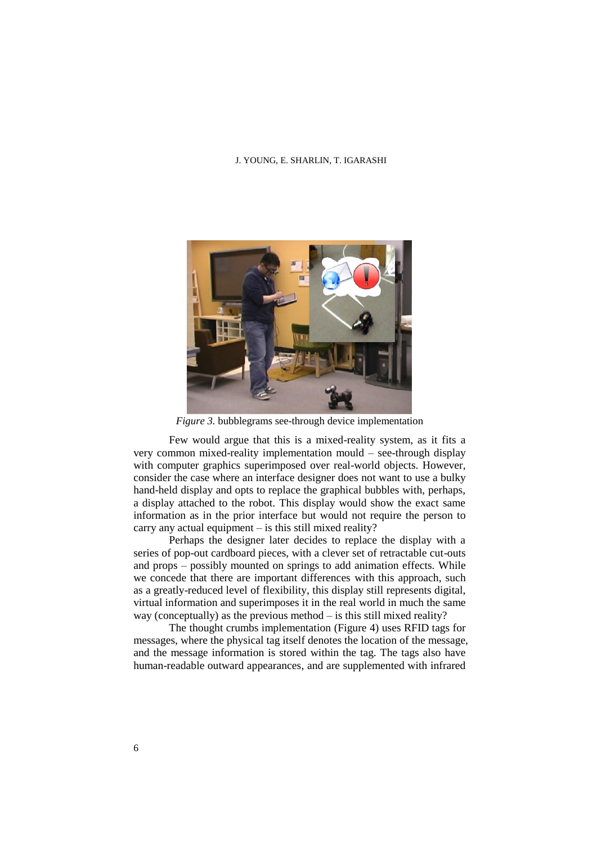

*Figure 3.* bubblegrams see-through device implementation

<span id="page-5-0"></span>Few would argue that this is a mixed-reality system, as it fits a very common mixed-reality implementation mould – see-through display with computer graphics superimposed over real-world objects. However, consider the case where an interface designer does not want to use a bulky hand-held display and opts to replace the graphical bubbles with, perhaps, a display attached to the robot. This display would show the exact same information as in the prior interface but would not require the person to carry any actual equipment – is this still mixed reality?

Perhaps the designer later decides to replace the display with a series of pop-out cardboard pieces, with a clever set of retractable cut-outs and props – possibly mounted on springs to add animation effects. While we concede that there are important differences with this approach, such as a greatly-reduced level of flexibility, this display still represents digital, virtual information and superimposes it in the real world in much the same way (conceptually) as the previous method – is this still mixed reality?

The thought crumbs implementation [\(Figure 4\)](#page-6-0) uses RFID tags for messages, where the physical tag itself denotes the location of the message, and the message information is stored within the tag. The tags also have human-readable outward appearances, and are supplemented with infrared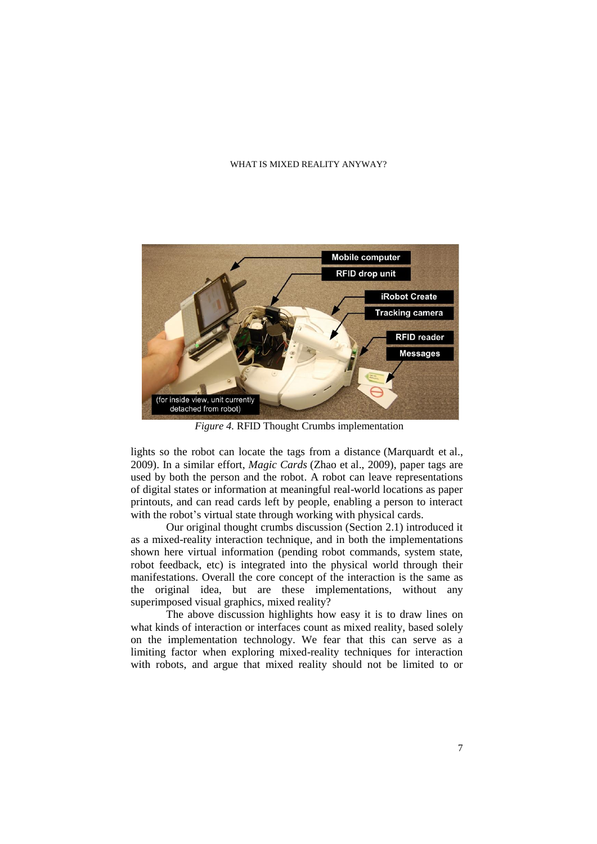

*Figure 4.* RFID Thought Crumbs implementation

<span id="page-6-0"></span>lights so the robot can locate the tags from a distance [\(Marquardt et](#page-14-0) al., [2009\)](#page-14-0). In a similar effort, *Magic Cards* (Zhao et [al., 2009\)](#page-15-0), paper tags are used by both the person and the robot. A robot can leave representations of digital states or information at meaningful real-world locations as paper printouts, and can read cards left by people, enabling a person to interact with the robot's virtual state through working with physical cards.

Our original thought crumbs discussion (Section [2.1\)](#page-2-0) introduced it as a mixed-reality interaction technique, and in both the implementations shown here virtual information (pending robot commands, system state, robot feedback, etc) is integrated into the physical world through their manifestations. Overall the core concept of the interaction is the same as the original idea, but are these implementations, without any superimposed visual graphics, mixed reality?

The above discussion highlights how easy it is to draw lines on what kinds of interaction or interfaces count as mixed reality, based solely on the implementation technology. We fear that this can serve as a limiting factor when exploring mixed-reality techniques for interaction with robots, and argue that mixed reality should not be limited to or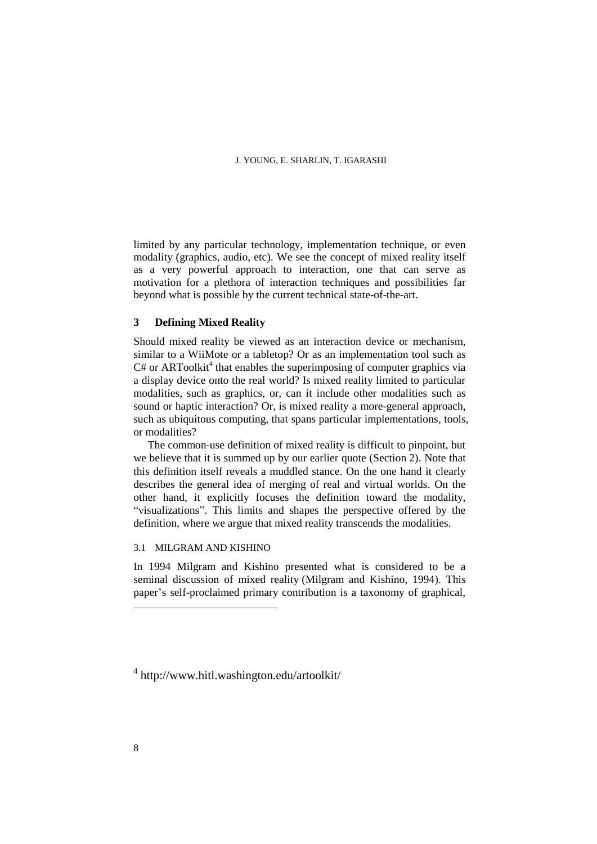limited by any particular technology, implementation technique, or even modality (graphics, audio, etc). We see the concept of mixed reality itself as a very powerful approach to interaction, one that can serve as motivation for a plethora of interaction techniques and possibilities far beyond what is possible by the current technical state-of-the-art.

# **3 Defining Mixed Reality**

Should mixed reality be viewed as an interaction device or mechanism, similar to a WiiMote or a tabletop? Or as an implementation tool such as  $C#$  or ARToolkit<sup>4</sup> that enables the superimposing of computer graphics via a display device onto the real world? Is mixed reality limited to particular modalities, such as graphics, or, can it include other modalities such as sound or haptic interaction? Or, is mixed reality a more-general approach, such as ubiquitous computing, that spans particular implementations, tools, or modalities?

The common-use definition of mixed reality is difficult to pinpoint, but we believe that it is summed up by our earlier quote (Section [2\)](#page-1-0). Note that this definition itself reveals a muddled stance. On the one hand it clearly describes the general idea of merging of real and virtual worlds. On the other hand, it explicitly focuses the definition toward the modality, "visualizations". This limits and shapes the perspective offered by the definition, where we argue that mixed reality transcends the modalities.

# 3.1 MILGRAM AND KISHINO

In 1994 Milgram and Kishino presented what is considered to be a seminal discussion of mixed reality [\(Milgram and Kishino, 1994\)](#page-14-0). This paper's self-proclaimed primary contribution is a taxonomy of graphical,

<u>.</u>

<sup>4</sup> http://www.hitl.washington.edu/artoolkit/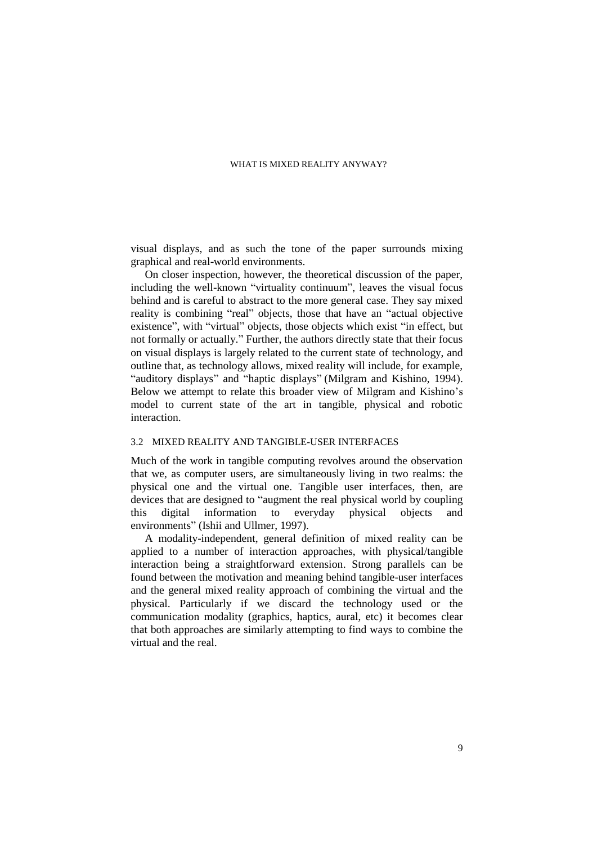visual displays, and as such the tone of the paper surrounds mixing graphical and real-world environments.

On closer inspection, however, the theoretical discussion of the paper, including the well-known "virtuality continuum", leaves the visual focus behind and is careful to abstract to the more general case. They say mixed reality is combining "real" objects, those that have an "actual objective existence", with "virtual" objects, those objects which exist "in effect, but not formally or actually." Further, the authors directly state that their focus on visual displays is largely related to the current state of technology, and outline that, as technology allows, mixed reality will include, for example, "auditory displays" and "haptic displays" [\(Milgram and Kishino, 1994\)](#page-14-0). Below we attempt to relate this broader view of Milgram and Kishino's model to current state of the art in tangible, physical and robotic interaction.

# 3.2 MIXED REALITY AND TANGIBLE-USER INTERFACES

Much of the work in tangible computing revolves around the observation that we, as computer users, are simultaneously living in two realms: the physical one and the virtual one. Tangible user interfaces, then, are devices that are designed to "augment the real physical world by coupling this digital information to everyday physical objects and environments" [\(Ishii and Ullmer, 1997\)](#page-14-0).

A modality-independent, general definition of mixed reality can be applied to a number of interaction approaches, with physical/tangible interaction being a straightforward extension. Strong parallels can be found between the motivation and meaning behind tangible-user interfaces and the general mixed reality approach of combining the virtual and the physical. Particularly if we discard the technology used or the communication modality (graphics, haptics, aural, etc) it becomes clear that both approaches are similarly attempting to find ways to combine the virtual and the real.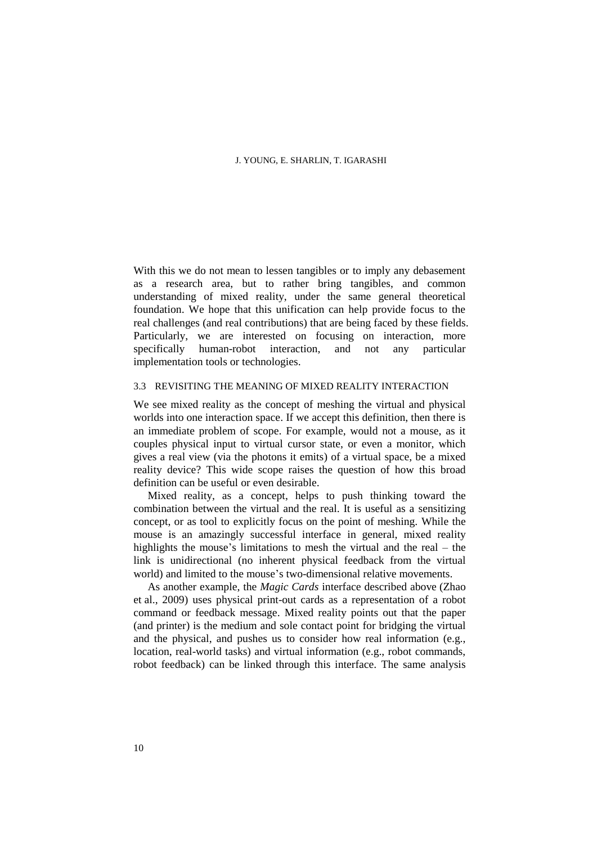With this we do not mean to lessen tangibles or to imply any debasement as a research area, but to rather bring tangibles, and common understanding of mixed reality, under the same general theoretical foundation. We hope that this unification can help provide focus to the real challenges (and real contributions) that are being faced by these fields. Particularly, we are interested on focusing on interaction, more specifically human-robot interaction, and not any particular implementation tools or technologies.

#### 3.3 REVISITING THE MEANING OF MIXED REALITY INTERACTION

We see mixed reality as the concept of meshing the virtual and physical worlds into one interaction space. If we accept this definition, then there is an immediate problem of scope. For example, would not a mouse, as it couples physical input to virtual cursor state, or even a monitor, which gives a real view (via the photons it emits) of a virtual space, be a mixed reality device? This wide scope raises the question of how this broad definition can be useful or even desirable.

Mixed reality, as a concept, helps to push thinking toward the combination between the virtual and the real. It is useful as a sensitizing concept, or as tool to explicitly focus on the point of meshing. While the mouse is an amazingly successful interface in general, mixed reality highlights the mouse's limitations to mesh the virtual and the real – the link is unidirectional (no inherent physical feedback from the virtual world) and limited to the mouse's two-dimensional relative movements.

As another example, the *Magic Cards* interface described above [\(Zhao](#page-15-0)  et [al., 2009\)](#page-15-0) uses physical print-out cards as a representation of a robot command or feedback message. Mixed reality points out that the paper (and printer) is the medium and sole contact point for bridging the virtual and the physical, and pushes us to consider how real information (e.g., location, real-world tasks) and virtual information (e.g., robot commands, robot feedback) can be linked through this interface. The same analysis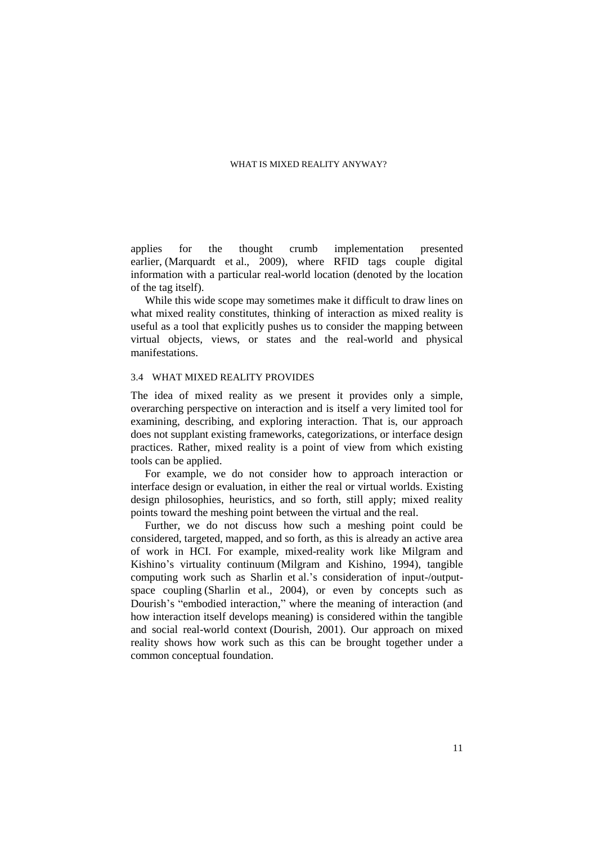applies for the thought crumb implementation presented earlier, [\(Marquardt et](#page-14-0) al., 2009), where RFID tags couple digital information with a particular real-world location (denoted by the location of the tag itself).

While this wide scope may sometimes make it difficult to draw lines on what mixed reality constitutes, thinking of interaction as mixed reality is useful as a tool that explicitly pushes us to consider the mapping between virtual objects, views, or states and the real-world and physical manifestations.

#### 3.4 WHAT MIXED REALITY PROVIDES

The idea of mixed reality as we present it provides only a simple, overarching perspective on interaction and is itself a very limited tool for examining, describing, and exploring interaction. That is, our approach does not supplant existing frameworks, categorizations, or interface design practices. Rather, mixed reality is a point of view from which existing tools can be applied.

For example, we do not consider how to approach interaction or interface design or evaluation, in either the real or virtual worlds. Existing design philosophies, heuristics, and so forth, still apply; mixed reality points toward the meshing point between the virtual and the real.

Further, we do not discuss how such a meshing point could be considered, targeted, mapped, and so forth, as this is already an active area of work in HCI. For example, mixed-reality work like Milgram and Kishino's virtuality continuum [\(Milgram and Kishino, 1994\)](#page-14-0), tangible computing work such as Sharlin et al.'s consideration of input-/outputspace coupling [\(Sharlin et](#page-15-0) al., 2004), or even by concepts such as Dourish's "embodied interaction," where the meaning of interaction (and how interaction itself develops meaning) is considered within the tangible and social real-world context [\(Dourish, 2001\)](#page-14-1). Our approach on mixed reality shows how work such as this can be brought together under a common conceptual foundation.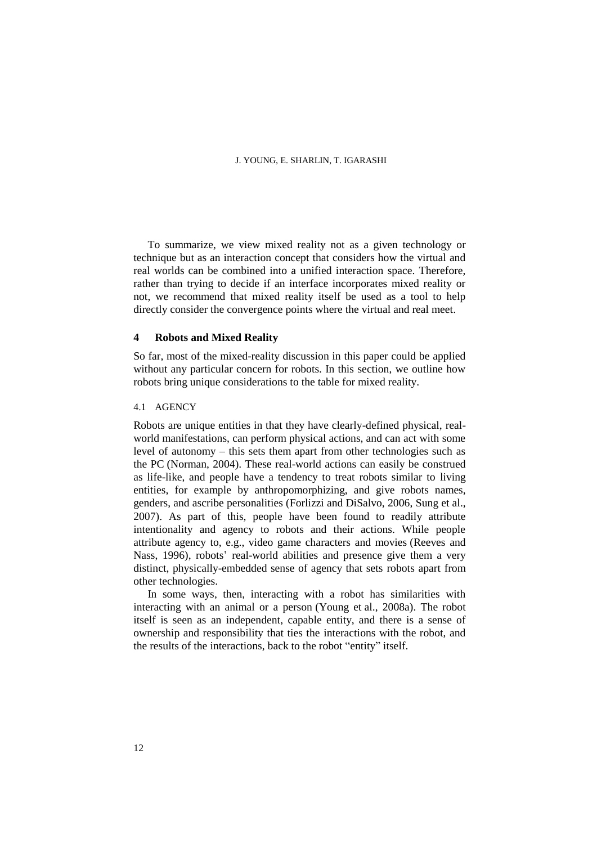To summarize, we view mixed reality not as a given technology or technique but as an interaction concept that considers how the virtual and real worlds can be combined into a unified interaction space. Therefore, rather than trying to decide if an interface incorporates mixed reality or not, we recommend that mixed reality itself be used as a tool to help directly consider the convergence points where the virtual and real meet.

# **4 Robots and Mixed Reality**

So far, most of the mixed-reality discussion in this paper could be applied without any particular concern for robots. In this section, we outline how robots bring unique considerations to the table for mixed reality.

#### 4.1 AGENCY

Robots are unique entities in that they have clearly-defined physical, realworld manifestations, can perform physical actions, and can act with some level of autonomy – this sets them apart from other technologies such as the PC [\(Norman, 2004\)](#page-14-0). These real-world actions can easily be construed as life-like, and people have a tendency to treat robots similar to living entities, for example by anthropomorphizing, and give robots names, genders, and ascribe personalities [\(Forlizzi and DiSalvo, 2006,](#page-14-0) [Sung et](#page-15-0) al., [2007\)](#page-15-0). As part of this, people have been found to readily attribute intentionality and agency to robots and their actions. While people attribute agency to, e.g., video game characters and movies [\(Reeves and](#page-14-0)  [Nass, 1996\)](#page-14-0), robots' real-world abilities and presence give them a very distinct, physically-embedded sense of agency that sets robots apart from other technologies.

In some ways, then, interacting with a robot has similarities with interacting with an animal or a person (Young et [al., 2008a\)](#page-15-0). The robot itself is seen as an independent, capable entity, and there is a sense of ownership and responsibility that ties the interactions with the robot, and the results of the interactions, back to the robot "entity" itself.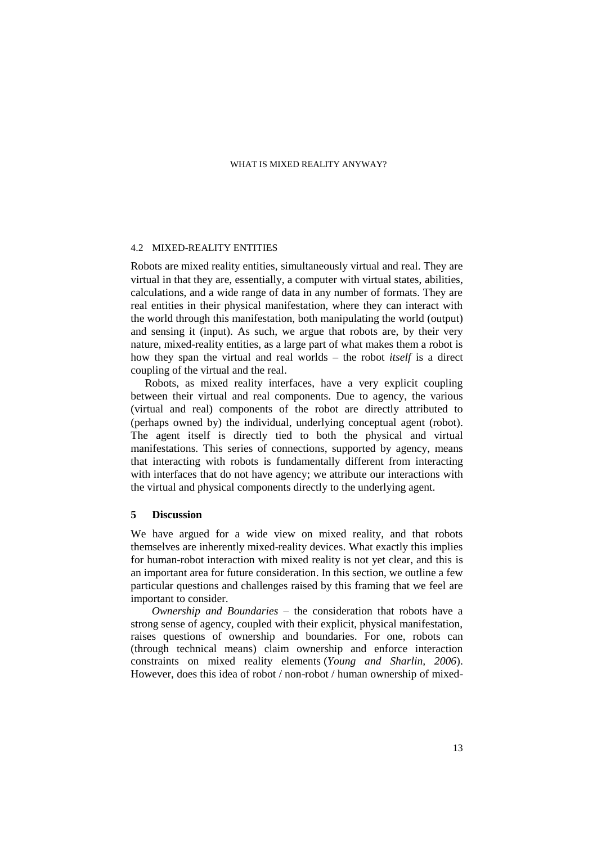#### 4.2 MIXED-REALITY ENTITIES

Robots are mixed reality entities, simultaneously virtual and real. They are virtual in that they are, essentially, a computer with virtual states, abilities, calculations, and a wide range of data in any number of formats. They are real entities in their physical manifestation, where they can interact with the world through this manifestation, both manipulating the world (output) and sensing it (input). As such, we argue that robots are, by their very nature, mixed-reality entities, as a large part of what makes them a robot is how they span the virtual and real worlds – the robot *itself* is a direct coupling of the virtual and the real.

Robots, as mixed reality interfaces, have a very explicit coupling between their virtual and real components. Due to agency, the various (virtual and real) components of the robot are directly attributed to (perhaps owned by) the individual, underlying conceptual agent (robot). The agent itself is directly tied to both the physical and virtual manifestations. This series of connections, supported by agency, means that interacting with robots is fundamentally different from interacting with interfaces that do not have agency; we attribute our interactions with the virtual and physical components directly to the underlying agent.

#### **5 Discussion**

We have argued for a wide view on mixed reality, and that robots themselves are inherently mixed-reality devices. What exactly this implies for human-robot interaction with mixed reality is not yet clear, and this is an important area for future consideration. In this section, we outline a few particular questions and challenges raised by this framing that we feel are important to consider.

*Ownership and Boundaries –* the consideration that robots have a strong sense of agency, coupled with their explicit, physical manifestation, raises questions of ownership and boundaries. For one, robots can (through technical means) claim ownership and enforce interaction constraints on mixed reality elements (*[Young and Sharlin, 2006](#page-15-0)*). However, does this idea of robot / non-robot / human ownership of mixed-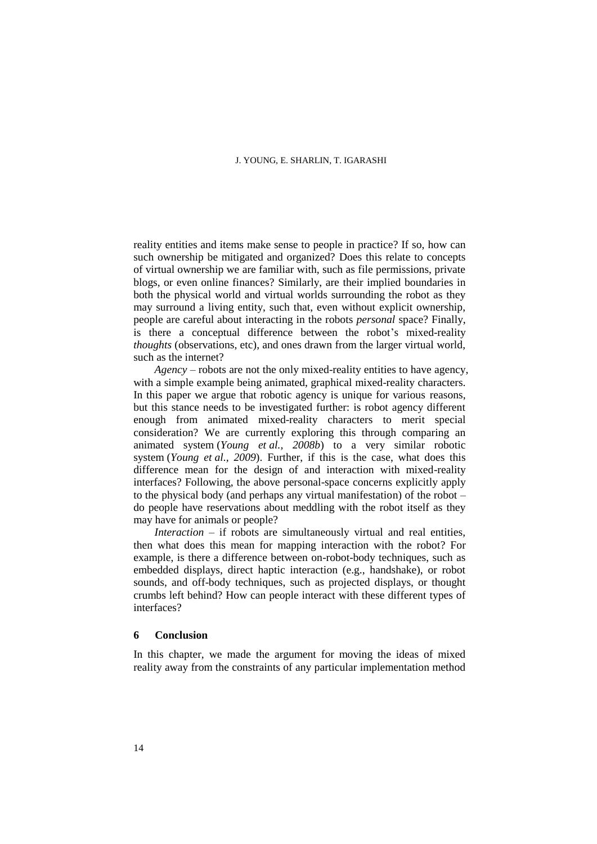reality entities and items make sense to people in practice? If so, how can such ownership be mitigated and organized? Does this relate to concepts of virtual ownership we are familiar with, such as file permissions, private blogs, or even online finances? Similarly, are their implied boundaries in both the physical world and virtual worlds surrounding the robot as they may surround a living entity, such that, even without explicit ownership, people are careful about interacting in the robots *personal* space? Finally, is there a conceptual difference between the robot's mixed-reality *thoughts* (observations, etc), and ones drawn from the larger virtual world, such as the internet?

*Agency –* robots are not the only mixed-reality entities to have agency, with a simple example being animated, graphical mixed-reality characters. In this paper we argue that robotic agency is unique for various reasons, but this stance needs to be investigated further: is robot agency different enough from animated mixed-reality characters to merit special consideration? We are currently exploring this through comparing an animated system (*Young et [al., 2008b](#page-15-0)*) to a very similar robotic system (*[Young et](#page-15-0) al., 2009*). Further, if this is the case, what does this difference mean for the design of and interaction with mixed-reality interfaces? Following, the above personal-space concerns explicitly apply to the physical body (and perhaps any virtual manifestation) of the robot – do people have reservations about meddling with the robot itself as they may have for animals or people?

*Interaction* – if robots are simultaneously virtual and real entities, then what does this mean for mapping interaction with the robot? For example, is there a difference between on-robot-body techniques, such as embedded displays, direct haptic interaction (e.g., handshake), or robot sounds, and off-body techniques, such as projected displays, or thought crumbs left behind? How can people interact with these different types of interfaces?

#### **6 Conclusion**

In this chapter, we made the argument for moving the ideas of mixed reality away from the constraints of any particular implementation method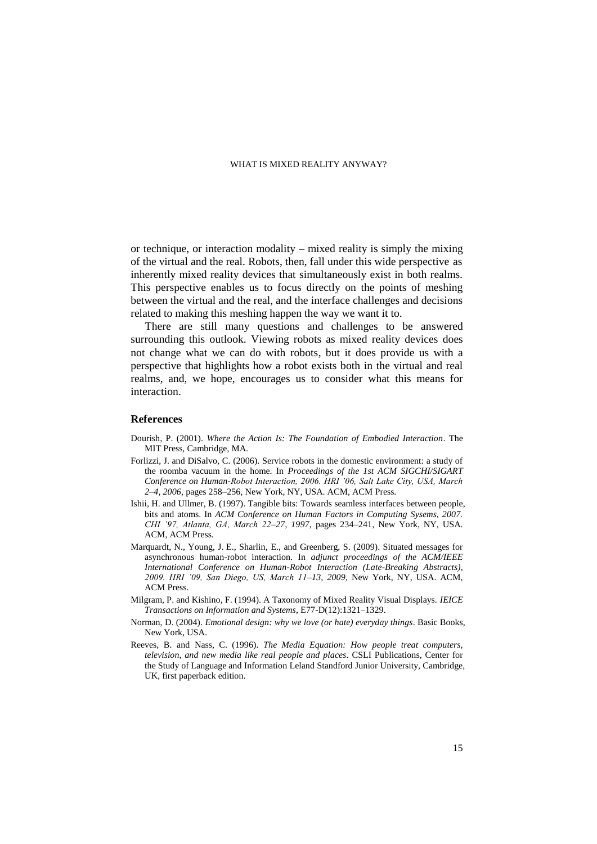<span id="page-14-0"></span>or technique, or interaction modality – mixed reality is simply the mixing of the virtual and the real. Robots, then, fall under this wide perspective as inherently mixed reality devices that simultaneously exist in both realms. This perspective enables us to focus directly on the points of meshing between the virtual and the real, and the interface challenges and decisions related to making this meshing happen the way we want it to.

There are still many questions and challenges to be answered surrounding this outlook. Viewing robots as mixed reality devices does not change what we can do with robots, but it does provide us with a perspective that highlights how a robot exists both in the virtual and real realms, and, we hope, encourages us to consider what this means for interaction.

#### **References**

- <span id="page-14-1"></span>Dourish, P. (2001). *Where the Action Is: The Foundation of Embodied Interaction*. The MIT Press, Cambridge, MA.
- Forlizzi, J. and DiSalvo, C. (2006). Service robots in the domestic environment: a study of the roomba vacuum in the home. In *Proceedings of the 1st ACM SIGCHI/SIGART Conference on Human-Robot Interaction, 2006. HRI '06, Salt Lake City, USA, March 2–4, 2006*, pages 258–256, New York, NY, USA. ACM, ACM Press.
- Ishii, H. and Ullmer, B. (1997). Tangible bits: Towards seamless interfaces between people, bits and atoms. In *ACM Conference on Human Factors in Computing Sysems, 2007. CHI '97, Atlanta, GA, March 22–27, 1997*, pages 234–241, New York, NY, USA. ACM, ACM Press.
- Marquardt, N., Young, J. E., Sharlin, E., and Greenberg, S. (2009). Situated messages for asynchronous human-robot interaction. In *adjunct proceedings of the ACM/IEEE International Conference on Human-Robot Interaction (Late-Breaking Abstracts), 2009. HRI '09, San Diego, US, March 11–13, 2009*, New York, NY, USA. ACM, ACM Press.
- Milgram, P. and Kishino, F. (1994). A Taxonomy of Mixed Reality Visual Displays. *IEICE Transactions on Information and Systems*, E77-D(12):1321–1329.
- Norman, D. (2004). *Emotional design: why we love (or hate) everyday things*. Basic Books, New York, USA.
- Reeves, B. and Nass, C. (1996). *The Media Equation: How people treat computers, television, and new media like real people and places*. CSLI Publications, Center for the Study of Language and Information Leland Standford Junior University, Cambridge, UK, first paperback edition.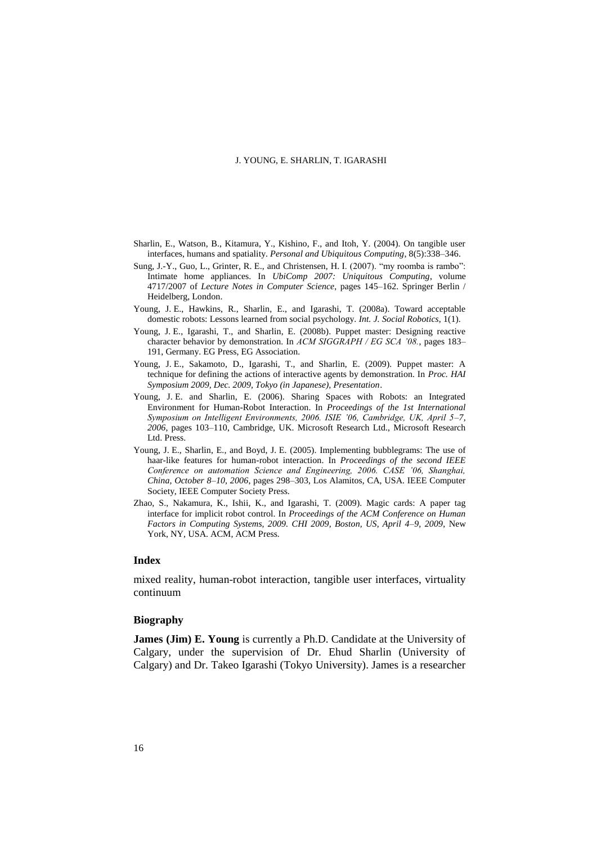- <span id="page-15-0"></span>Sharlin, E., Watson, B., Kitamura, Y., Kishino, F., and Itoh, Y. (2004). On tangible user interfaces, humans and spatiality. *Personal and Ubiquitous Computing*, 8(5):338–346.
- Sung, J.-Y., Guo, L., Grinter, R. E., and Christensen, H. I. (2007). "my roomba is rambo": Intimate home appliances. In *UbiComp 2007: Uniquitous Computing*, volume 4717/2007 of *Lecture Notes in Computer Science*, pages 145–162. Springer Berlin / Heidelberg, London.
- Young, J. E., Hawkins, R., Sharlin, E., and Igarashi, T. (2008a). Toward acceptable domestic robots: Lessons learned from social psychology. *Int. J. Social Robotics*, 1(1).
- Young, J. E., Igarashi, T., and Sharlin, E. (2008b). Puppet master: Designing reactive character behavior by demonstration. In *ACM SIGGRAPH / EG SCA '08.*, pages 183– 191, Germany. EG Press, EG Association.
- Young, J. E., Sakamoto, D., Igarashi, T., and Sharlin, E. (2009). Puppet master: A technique for defining the actions of interactive agents by demonstration. In *Proc. HAI Symposium 2009, Dec. 2009, Tokyo (in Japanese), Presentation*.
- Young, J. E. and Sharlin, E. (2006). Sharing Spaces with Robots: an Integrated Environment for Human-Robot Interaction. In *Proceedings of the 1st International Symposium on Intelligent Environments, 2006. ISIE '06, Cambridge, UK, April 5–7, 2006*, pages 103–110, Cambridge, UK. Microsoft Research Ltd., Microsoft Research Ltd. Press.
- Young, J. E., Sharlin, E., and Boyd, J. E. (2005). Implementing bubblegrams: The use of haar-like features for human-robot interaction. In *Proceedings of the second IEEE Conference on automation Science and Engineering, 2006. CASE '06, Shanghai, China, October 8–10, 2006*, pages 298–303, Los Alamitos, CA, USA. IEEE Computer Society, IEEE Computer Society Press.
- Zhao, S., Nakamura, K., Ishii, K., and Igarashi, T. (2009). Magic cards: A paper tag interface for implicit robot control. In *Proceedings of the ACM Conference on Human Factors in Computing Systems, 2009. CHI 2009, Boston, US, April 4–9, 2009*, New York, NY, USA. ACM, ACM Press.

#### **Index**

mixed reality, human-robot interaction, tangible user interfaces, virtuality continuum

# **Biography**

**James (Jim) E. Young** is currently a Ph.D. Candidate at the University of Calgary, under the supervision of Dr. Ehud Sharlin (University of Calgary) and Dr. Takeo Igarashi (Tokyo University). James is a researcher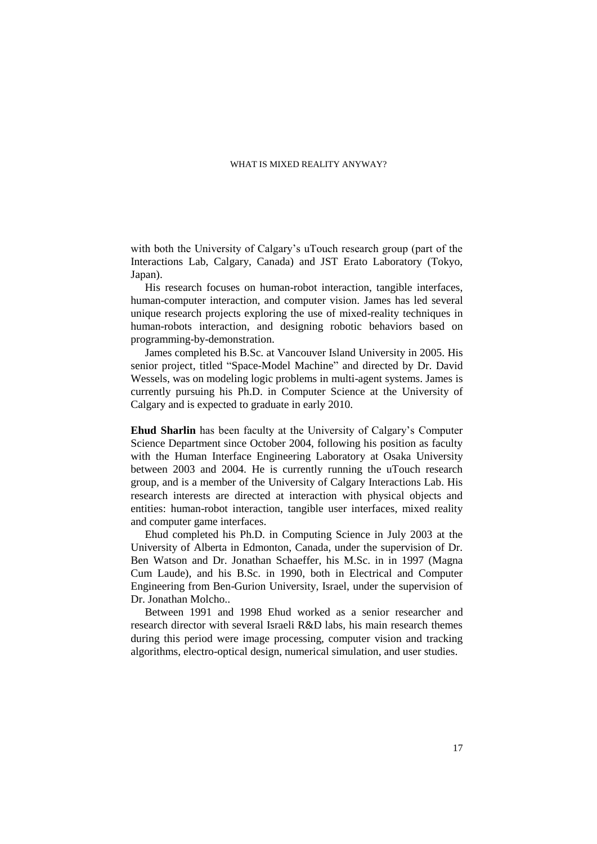with both the University of Calgary's uTouch research group (part of the Interactions Lab, Calgary, Canada) and JST Erato Laboratory (Tokyo, Japan).

His research focuses on human-robot interaction, tangible interfaces, human-computer interaction, and computer vision. James has led several unique research projects exploring the use of mixed-reality techniques in human-robots interaction, and designing robotic behaviors based on programming-by-demonstration.

James completed his B.Sc. at Vancouver Island University in 2005. His senior project, titled "Space-Model Machine" and directed by Dr. David Wessels, was on modeling logic problems in multi-agent systems. James is currently pursuing his Ph.D. in Computer Science at the University of Calgary and is expected to graduate in early 2010.

**Ehud Sharlin** has been faculty at the University of Calgary's Computer Science Department since October 2004, following his position as faculty with the Human Interface Engineering Laboratory at Osaka University between 2003 and 2004. He is currently running the uTouch research group, and is a member of the University of Calgary Interactions Lab. His research interests are directed at interaction with physical objects and entities: human-robot interaction, tangible user interfaces, mixed reality and computer game interfaces.

Ehud completed his Ph.D. in Computing Science in July 2003 at the University of Alberta in Edmonton, Canada, under the supervision of Dr. Ben Watson and Dr. Jonathan Schaeffer, his M.Sc. in in 1997 (Magna Cum Laude), and his B.Sc. in 1990, both in Electrical and Computer Engineering from Ben-Gurion University, Israel, under the supervision of Dr. Jonathan Molcho..

Between 1991 and 1998 Ehud worked as a senior researcher and research director with several Israeli R&D labs, his main research themes during this period were image processing, computer vision and tracking algorithms, electro-optical design, numerical simulation, and user studies.